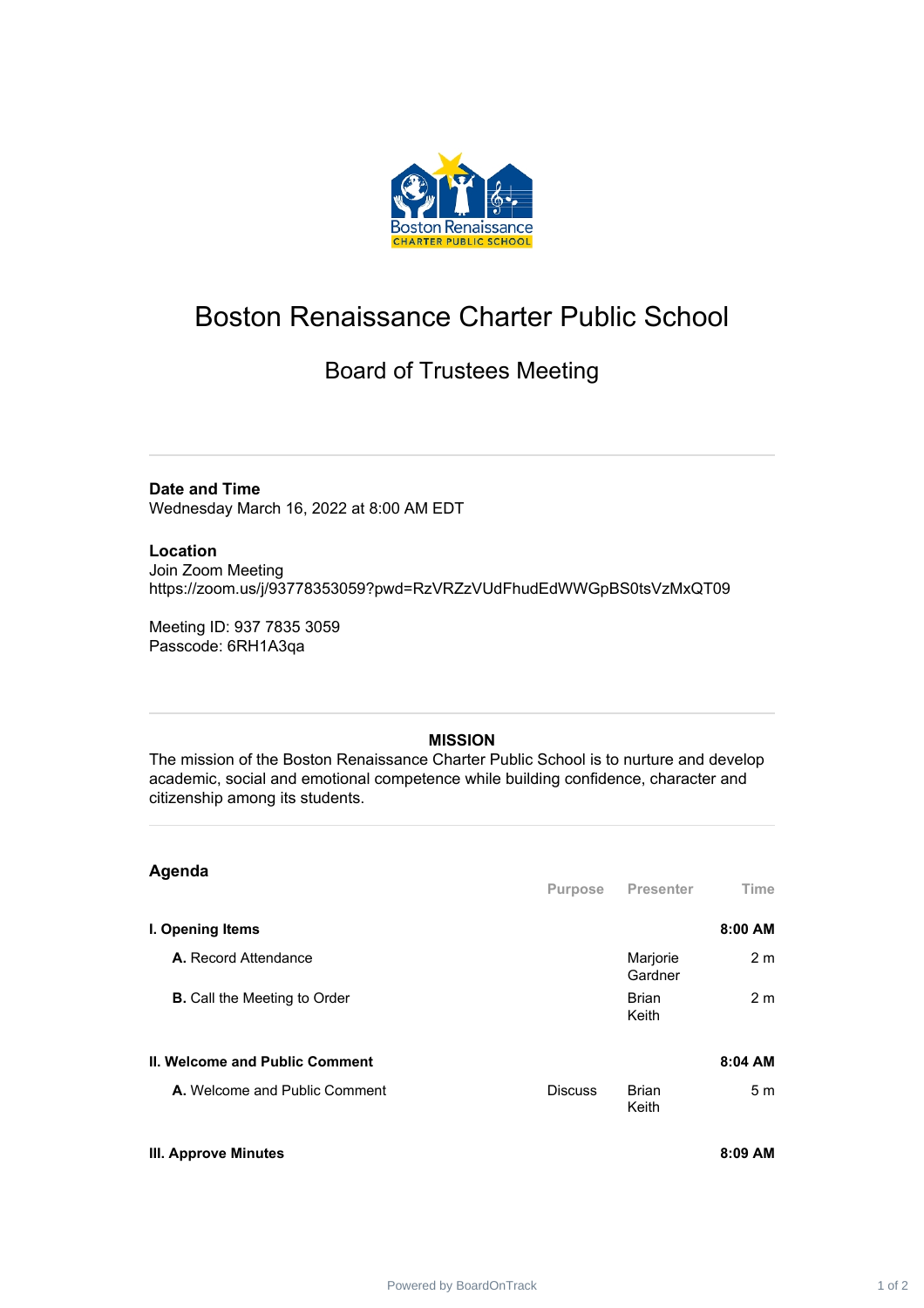

## Boston Renaissance Charter Public School

## Board of Trustees Meeting

**Date and Time**

Wednesday March 16, 2022 at 8:00 AM EDT

## **Location**

Join Zoom Meeting https://zoom.us/j/93778353059?pwd=RzVRZzVUdFhudEdWWGpBS0tsVzMxQT09

Meeting ID: 937 7835 3059 Passcode: 6RH1A3qa

## **MISSION**

The mission of the Boston Renaissance Charter Public School is to nurture and develop academic, social and emotional competence while building confidence, character and citizenship among its students.

| Agenda                                |                |                       |                |
|---------------------------------------|----------------|-----------------------|----------------|
|                                       | Purpose        | <b>Presenter</b>      | <b>Time</b>    |
| I. Opening Items                      |                |                       | 8:00 AM        |
| A. Record Attendance                  |                | Marjorie<br>Gardner   | 2 <sub>m</sub> |
| <b>B.</b> Call the Meeting to Order   |                | <b>Brian</b><br>Keith | 2 <sub>m</sub> |
| <b>II. Welcome and Public Comment</b> |                |                       | 8:04 AM        |
| A. Welcome and Public Comment         | <b>Discuss</b> | <b>Brian</b><br>Keith | 5m             |
| <b>III. Approve Minutes</b>           |                |                       | 8:09 AM        |